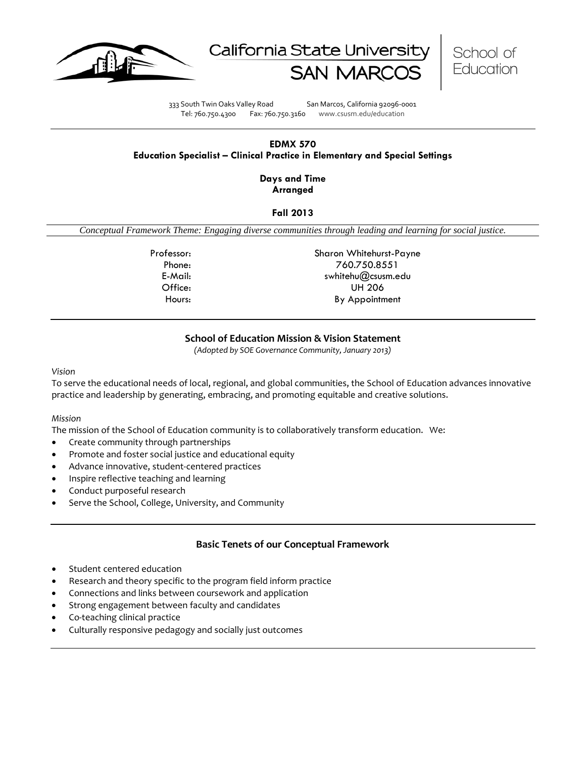





#### **EDMX 570 Education Specialist – Clinical Practice in Elementary and Special Settings**

**Days and Time Arranged**

# **Fall 2013**

*Conceptual Framework Theme: Engaging diverse communities through leading and learning for social justice.*

Professor: Sharon Whitehurst-Payne Phone: 760.750.8551 E-Mail: swhitehu@csusm.edu Office: UH 206 Hours: By Appointment

# **School of Education Mission & Vision Statement**

*(Adopted by SOE Governance Community, January 2013)*

*Vision*

To serve the educational needs of local, regional, and global communities, the School of Education advances innovative practice and leadership by generating, embracing, and promoting equitable and creative solutions.

#### *Mission*

The mission of the School of Education community is to collaboratively transform education. We:

- Create community through partnerships
- Promote and foster social justice and educational equity
- Advance innovative, student-centered practices
- Inspire reflective teaching and learning
- Conduct purposeful research
- Serve the School, College, University, and Community

#### **Basic Tenets of our Conceptual Framework**

- Student centered education
- Research and theory specific to the program field inform practice
- Connections and links between coursework and application
- Strong engagement between faculty and candidates
- Co-teaching clinical practice
- Culturally responsive pedagogy and socially just outcomes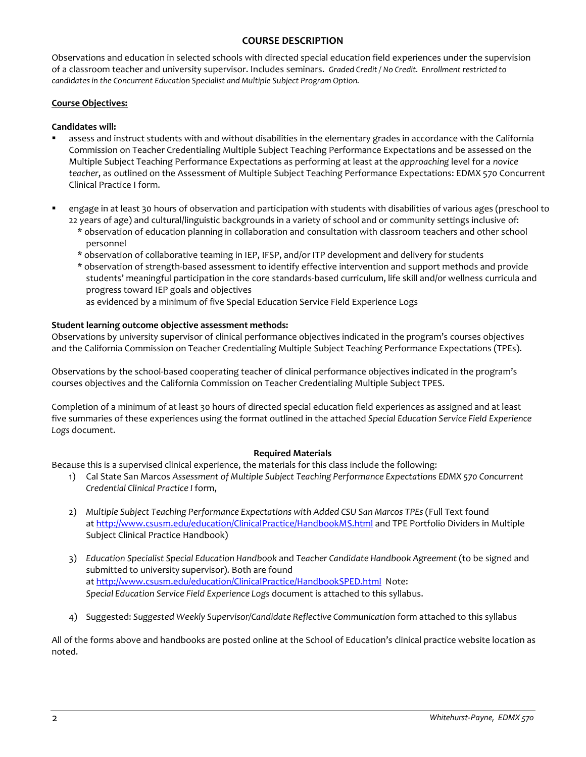#### **COURSE DESCRIPTION**

Observations and education in selected schools with directed special education field experiences under the supervision of a classroom teacher and university supervisor. Includes seminars. *Graded Credit / No Credit. Enrollment restricted to candidates in the Concurrent Education Specialist and Multiple Subject Program Option.* 

#### **Course Objectives:**

#### **Candidates will:**

- assess and instruct students with and without disabilities in the elementary grades in accordance with the California Commission on Teacher Credentialing Multiple Subject Teaching Performance Expectations and be assessed on the Multiple Subject Teaching Performance Expectations as performing at least at the *approaching* level for a *novice teacher*, as outlined on the Assessment of Multiple Subject Teaching Performance Expectations: EDMX 570 Concurrent Clinical Practice I form.
- engage in at least 30 hours of observation and participation with students with disabilities of various ages (preschool to 22 years of age) and cultural/linguistic backgrounds in a variety of school and or community settings inclusive of:
	- \* observation of education planning in collaboration and consultation with classroom teachers and other school personnel
	- \* observation of collaborative teaming in IEP, IFSP, and/or ITP development and delivery for students
	- \* observation of strength-based assessment to identify effective intervention and support methods and provide students' meaningful participation in the core standards-based curriculum, life skill and/or wellness curricula and progress toward IEP goals and objectives

as evidenced by a minimum of five Special Education Service Field Experience Logs

#### **Student learning outcome objective assessment methods:**

Observations by university supervisor of clinical performance objectives indicated in the program's courses objectives and the California Commission on Teacher Credentialing Multiple Subject Teaching Performance Expectations (TPEs).

Observations by the school-based cooperating teacher of clinical performance objectives indicated in the program's courses objectives and the California Commission on Teacher Credentialing Multiple Subject TPES.

Completion of a minimum of at least 30 hours of directed special education field experiences as assigned and at least five summaries of these experiences using the format outlined in the attached *Special Education Service Field Experience Logs* document.

#### **Required Materials**

Because this is a supervised clinical experience, the materials for this class include the following:

- 1) Cal State San Marcos *Assessment of Multiple Subject Teaching Performance Expectations EDMX 570 Concurrent Credential Clinical Practice I* form,
- 2) Multiple Subject Teaching Performance Expectations with Added CSU San Marcos TPEs (Full Text found a[t http://www.csusm.edu/education/ClinicalPractice/HandbookMS.html](http://www.csusm.edu/education/ClinicalPractice/HandbookMS.html) and TPE Portfolio Dividers in Multiple Subject Clinical Practice Handbook)
- 3) *Education Specialist Special Education Handbook* and *Teacher Candidate Handbook Agreement* (to be signed and submitted to university supervisor). Both are found a[t http://www.csusm.edu/education/ClinicalPractice/HandbookSPED.html](http://www.csusm.edu/education/ClinicalPractice/HandbookSPED.html) Note: *Special Education Service Field Experience Logs* document is attached to this syllabus.
- 4) Suggested: *Suggested Weekly Supervisor/Candidate Reflective Communicatio*n form attached to this syllabus

All of the forms above and handbooks are posted online at the School of Education's clinical practice website location as noted.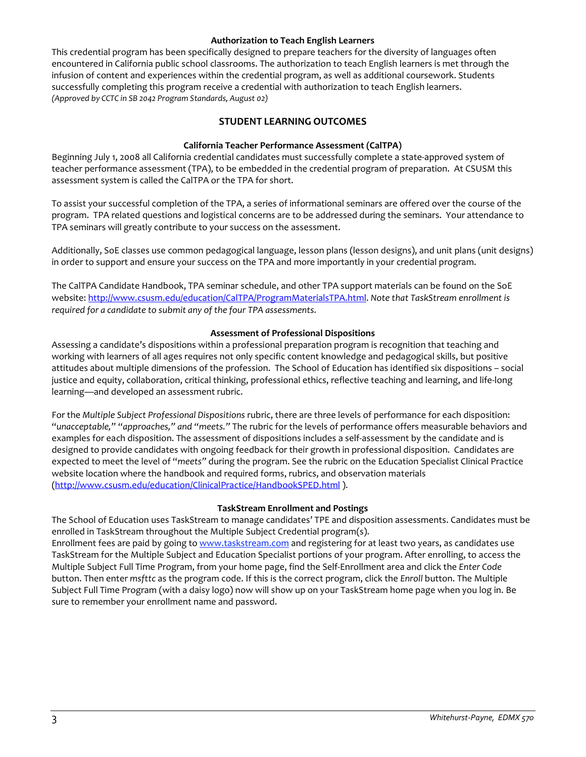#### **Authorization to Teach English Learners**

This credential program has been specifically designed to prepare teachers for the diversity of languages often encountered in California public school classrooms. The authorization to teach English learners is met through the infusion of content and experiences within the credential program, as well as additional coursework. Students successfully completing this program receive a credential with authorization to teach English learners. *(Approved by CCTC in SB 2042 Program Standards, August 02)*

#### **STUDENT LEARNING OUTCOMES**

#### **California Teacher Performance Assessment (CalTPA)**

Beginning July 1, 2008 all California credential candidates must successfully complete a state-approved system of teacher performance assessment (TPA), to be embedded in the credential program of preparation. At CSUSM this assessment system is called the CalTPA or the TPA for short.

To assist your successful completion of the TPA, a series of informational seminars are offered over the course of the program. TPA related questions and logistical concerns are to be addressed during the seminars. Your attendance to TPA seminars will greatly contribute to your success on the assessment.

Additionally, SoE classes use common pedagogical language, lesson plans (lesson designs), and unit plans (unit designs) in order to support and ensure your success on the TPA and more importantly in your credential program.

The CalTPA Candidate Handbook, TPA seminar schedule, and other TPA support materials can be found on the SoE website: [http://www.csusm.edu/education/CalTPA/ProgramMaterialsTPA.html.](http://www.csusm.edu/education/CalTPA/ProgramMaterialsTPA.html) *Note that TaskStream enrollment is required for a candidate to submit any of the four TPA assessments.*

#### **Assessment of Professional Dispositions**

Assessing a candidate's dispositions within a professional preparation program is recognition that teaching and working with learners of all ages requires not only specific content knowledge and pedagogical skills, but positive attitudes about multiple dimensions of the profession. The School of Education has identified six dispositions – social justice and equity, collaboration, critical thinking, professional ethics, reflective teaching and learning, and life-long learning—and developed an assessment rubric.

For the *Multiple Subject Professional Dispositions* rubric, there are three levels of performance for each disposition: "*unacceptable,"* "*approaches," and "meets."* The rubric for the levels of performance offers measurable behaviors and examples for each disposition. The assessment of dispositions includes a self-assessment by the candidate and is designed to provide candidates with ongoing feedback for their growth in professional disposition. Candidates are expected to meet the level of "*meets"* during the program. See the rubric on the Education Specialist Clinical Practice website location where the handbook and required forms, rubrics, and observation materials [\(http://www.csusm.edu/education/ClinicalPractice/HandbookSPED.html](http://www.csusm.edu/education/ClinicalPractice/HandbookSPED.html) ).

#### **TaskStream Enrollment and Postings**

The School of Education uses TaskStream to manage candidates' TPE and disposition assessments. Candidates must be enrolled in TaskStream throughout the Multiple Subject Credential program(s). Enrollment fees are paid by going to [www.taskstream.com](http://www.taskstrem.com/) and registering for at least two years, as candidates use TaskStream for the Multiple Subject and Education Specialist portions of your program. After enrolling, to access the Multiple Subject Full Time Program, from your home page, find the Self-Enrollment area and click the *Enter Code*

button. Then enter *msfttc* as the program code. If this is the correct program, click the *Enroll* button. The Multiple Subject Full Time Program (with a daisy logo) now will show up on your TaskStream home page when you log in. Be sure to remember your enrollment name and password.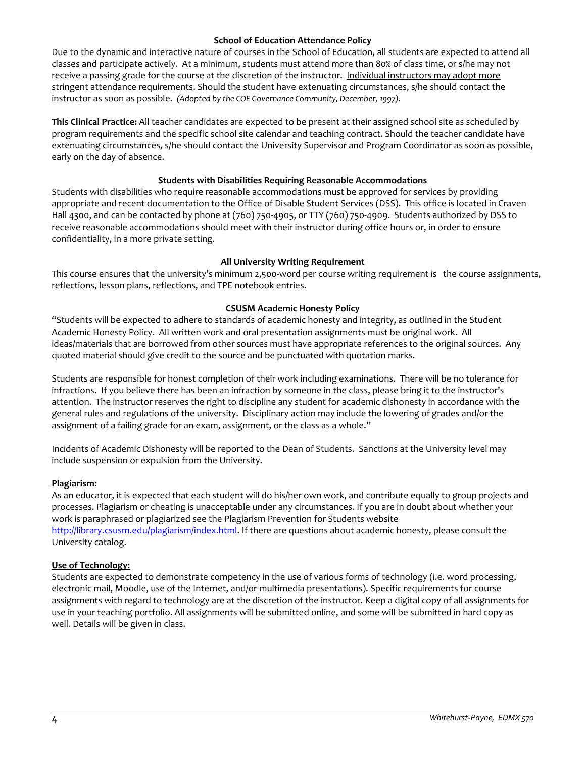#### **School of Education Attendance Policy**

Due to the dynamic and interactive nature of courses in the School of Education, all students are expected to attend all classes and participate actively. At a minimum, students must attend more than 80% of class time, or s/he may not receive a passing grade for the course at the discretion of the instructor. Individual instructors may adopt more stringent attendance requirements. Should the student have extenuating circumstances, s/he should contact the instructor as soon as possible. *(Adopted by the COE Governance Community, December, 1997).*

**This Clinical Practice:** All teacher candidates are expected to be present at their assigned school site as scheduled by program requirements and the specific school site calendar and teaching contract. Should the teacher candidate have extenuating circumstances, s/he should contact the University Supervisor and Program Coordinator as soon as possible, early on the day of absence.

#### **Students with Disabilities Requiring Reasonable Accommodations**

Students with disabilities who require reasonable accommodations must be approved for services by providing appropriate and recent documentation to the Office of Disable Student Services (DSS). This office is located in Craven Hall 4300, and can be contacted by phone at (760) 750-4905, or TTY (760) 750-4909. Students authorized by DSS to receive reasonable accommodations should meet with their instructor during office hours or, in order to ensure confidentiality, in a more private setting.

#### **All University Writing Requirement**

This course ensures that the university's minimum 2,500-word per course writing requirement is the course assignments, reflections, lesson plans, reflections, and TPE notebook entries.

#### **CSUSM Academic Honesty Policy**

"Students will be expected to adhere to standards of academic honesty and integrity, as outlined in the Student Academic Honesty Policy. All written work and oral presentation assignments must be original work. All ideas/materials that are borrowed from other sources must have appropriate references to the original sources. Any quoted material should give credit to the source and be punctuated with quotation marks.

Students are responsible for honest completion of their work including examinations. There will be no tolerance for infractions. If you believe there has been an infraction by someone in the class, please bring it to the instructor's attention. The instructor reserves the right to discipline any student for academic dishonesty in accordance with the general rules and regulations of the university. Disciplinary action may include the lowering of grades and/or the assignment of a failing grade for an exam, assignment, or the class as a whole."

Incidents of Academic Dishonesty will be reported to the Dean of Students. Sanctions at the University level may include suspension or expulsion from the University.

#### **Plagiarism:**

As an educator, it is expected that each student will do his/her own work, and contribute equally to group projects and processes. Plagiarism or cheating is unacceptable under any circumstances. If you are in doubt about whether your work is paraphrased or plagiarized see the Plagiarism Prevention for Students website http://library.csusm.edu/plagiarism/index.html. If there are questions about academic honesty, please consult the University catalog.

#### **Use of Technology:**

Students are expected to demonstrate competency in the use of various forms of technology (i.e. word processing, electronic mail, Moodle, use of the Internet, and/or multimedia presentations). Specific requirements for course assignments with regard to technology are at the discretion of the instructor. Keep a digital copy of all assignments for use in your teaching portfolio. All assignments will be submitted online, and some will be submitted in hard copy as well. Details will be given in class.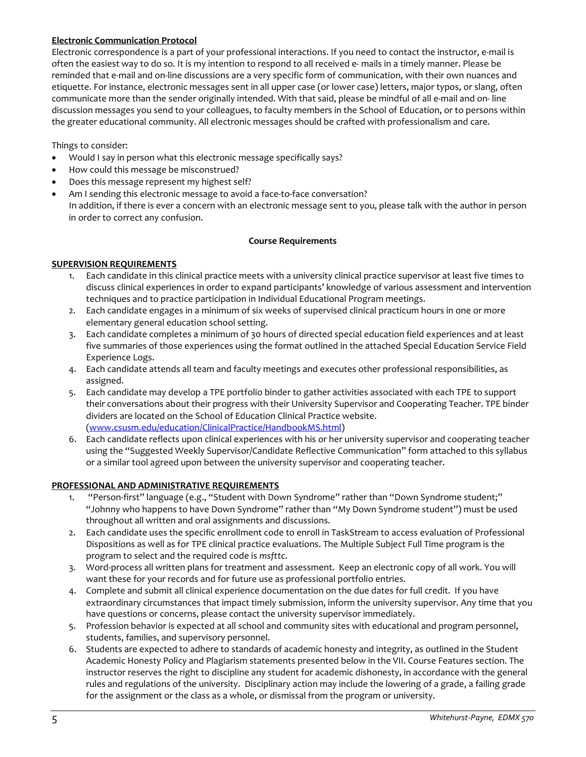#### **Electronic Communication Protocol**

Electronic correspondence is a part of your professional interactions. If you need to contact the instructor, e-mail is often the easiest way to do so. It is my intention to respond to all received e- mails in a timely manner. Please be reminded that e-mail and on-line discussions are a very specific form of communication, with their own nuances and etiquette. For instance, electronic messages sent in all upper case (or lower case) letters, major typos, or slang, often communicate more than the sender originally intended. With that said, please be mindful of all e-mail and on- line discussion messages you send to your colleagues, to faculty members in the School of Education, or to persons within the greater educational community. All electronic messages should be crafted with professionalism and care.

Things to consider:

- Would I say in person what this electronic message specifically says?
- How could this message be misconstrued?
- Does this message represent my highest self?
- Am I sending this electronic message to avoid a face-to-face conversation? In addition, if there is ever a concern with an electronic message sent to you, please talk with the author in person in order to correct any confusion.

#### **Course Requirements**

#### **SUPERVISION REQUIREMENTS**

- 1. Each candidate in this clinical practice meets with a university clinical practice supervisor at least five times to discuss clinical experiences in order to expand participants' knowledge of various assessment and intervention techniques and to practice participation in Individual Educational Program meetings.
- 2. Each candidate engages in a minimum of six weeks of supervised clinical practicum hours in one or more elementary general education school setting.
- 3. Each candidate completes a minimum of 30 hours of directed special education field experiences and at least five summaries of those experiences using the format outlined in the attached Special Education Service Field Experience Logs.
- 4. Each candidate attends all team and faculty meetings and executes other professional responsibilities, as assigned.
- 5. Each candidate may develop a TPE portfolio binder to gather activities associated with each TPE to support their conversations about their progress with their University Supervisor and Cooperating Teacher. TPE binder dividers are located on the School of Education Clinical Practice website. [\(www.csusm.edu/education/ClinicalPractice/HandbookMS.html\)](http://www.csusm.edu/education/ClinicalPractice/HandbookMS.html)
- 6. Each candidate reflects upon clinical experiences with his or her university supervisor and cooperating teacher using the "Suggested Weekly Supervisor/Candidate Reflective Communication" form attached to this syllabus or a similar tool agreed upon between the university supervisor and cooperating teacher.

#### **PROFESSIONAL AND ADMINISTRATIVE REQUIREMENTS**

- 1. "Person-first" language (e.g., "Student with Down Syndrome" rather than "Down Syndrome student;" "Johnny who happens to have Down Syndrome" rather than "My Down Syndrome student") must be used throughout all written and oral assignments and discussions.
- 2. Each candidate uses the specific enrollment code to enroll in TaskStream to access evaluation of Professional Dispositions as well as for TPE clinical practice evaluations. The Multiple Subject Full Time program is the program to select and the required code is *msfttc*.
- 3. Word-process all written plans for treatment and assessment. Keep an electronic copy of all work. You will want these for your records and for future use as professional portfolio entries.
- 4. Complete and submit all clinical experience documentation on the due dates for full credit. If you have extraordinary circumstances that impact timely submission, inform the university supervisor. Any time that you have questions or concerns, please contact the university supervisor immediately.
- 5. Profession behavior is expected at all school and community sites with educational and program personnel, students, families, and supervisory personnel.
- 6. Students are expected to adhere to standards of academic honesty and integrity, as outlined in the Student Academic Honesty Policy and Plagiarism statements presented below in the VII. Course Features section. The instructor reserves the right to discipline any student for academic dishonesty, in accordance with the general rules and regulations of the university. Disciplinary action may include the lowering of a grade, a failing grade for the assignment or the class as a whole, or dismissal from the program or university.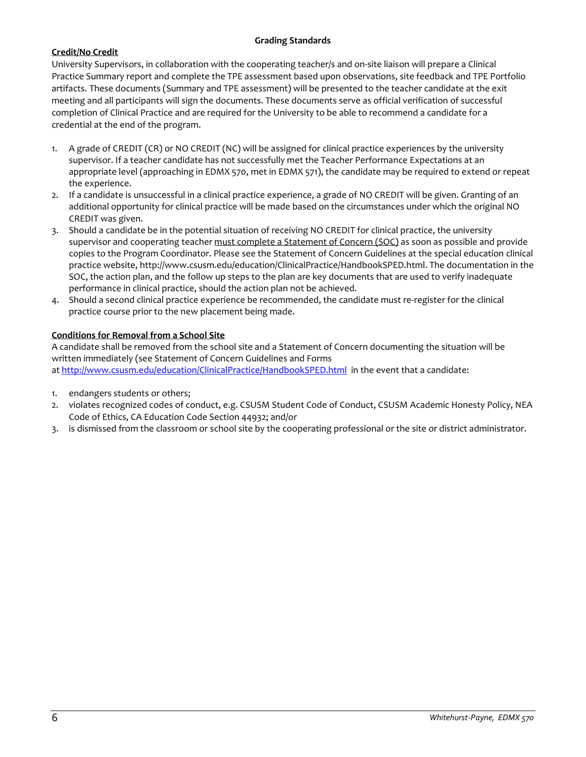#### **Grading Standards**

# **Credit/No Credit**

University Supervisors, in collaboration with the cooperating teacher/s and on-site liaison will prepare a Clinical Practice Summary report and complete the TPE assessment based upon observations, site feedback and TPE Portfolio artifacts. These documents (Summary and TPE assessment) will be presented to the teacher candidate at the exit meeting and all participants will sign the documents. These documents serve as official verification of successful completion of Clinical Practice and are required for the University to be able to recommend a candidate for a credential at the end of the program.

- 1. A grade of CREDIT (CR) or NO CREDIT (NC) will be assigned for clinical practice experiences by the university supervisor. If a teacher candidate has not successfully met the Teacher Performance Expectations at an appropriate level (approaching in EDMX 570, met in EDMX 571), the candidate may be required to extend or repeat the experience.
- 2. If a candidate is unsuccessful in a clinical practice experience, a grade of NO CREDIT will be given. Granting of an additional opportunity for clinical practice will be made based on the circumstances under which the original NO CREDIT was given.
- 3. Should a candidate be in the potential situation of receiving NO CREDIT for clinical practice, the university supervisor and cooperating teacher must complete a Statement of Concern (SOC) as soon as possible and provide copies to the Program Coordinator. Please see the Statement of Concern Guidelines at the special education clinical practice website, http://www.csusm.edu/education/ClinicalPractice/HandbookSPED.html. The documentation in the SOC, the action plan, and the follow up steps to the plan are key documents that are used to verify inadequate performance in clinical practice, should the action plan not be achieved.
- 4. Should a second clinical practice experience be recommended, the candidate must re-register for the clinical practice course prior to the new placement being made.

#### **Conditions for Removal from a School Site**

A candidate shall be removed from the school site and a Statement of Concern documenting the situation will be written immediately (see Statement of Concern Guidelines and Forms a[t http://www.csusm.edu/education/ClinicalPractice/HandbookSPED.html](http://www.csusm.edu/education/ClinicalPractice/HandbookSPED.html) in the event that a candidate:

- 1. endangers students or others;
- 2. violates recognized codes of conduct, e.g. CSUSM Student Code of Conduct, CSUSM Academic Honesty Policy, NEA Code of Ethics, CA Education Code Section 44932; and/or
- 3. is dismissed from the classroom or school site by the cooperating professional or the site or district administrator.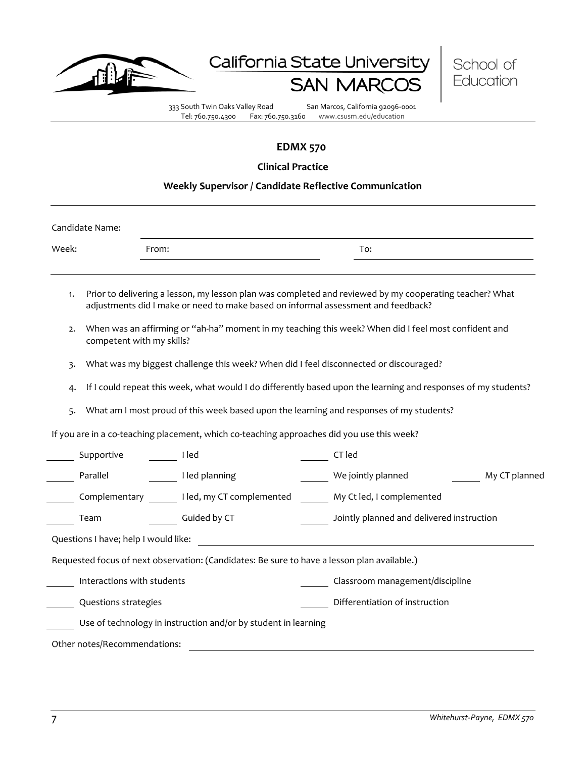





www.csusm.edu/education

# **EDMX 570**

# **Clinical Practice**

# **Weekly Supervisor / Candidate Reflective Communication**

| Candidate Name:                      |                                                                                                                                   |                                                                                                                      |  |  |  |  |
|--------------------------------------|-----------------------------------------------------------------------------------------------------------------------------------|----------------------------------------------------------------------------------------------------------------------|--|--|--|--|
| Week:                                | From:                                                                                                                             | To:                                                                                                                  |  |  |  |  |
|                                      |                                                                                                                                   |                                                                                                                      |  |  |  |  |
| 1.                                   | adjustments did I make or need to make based on informal assessment and feedback?                                                 | Prior to delivering a lesson, my lesson plan was completed and reviewed by my cooperating teacher? What              |  |  |  |  |
| $\mathbf{2}$                         | When was an affirming or "ah-ha" moment in my teaching this week? When did I feel most confident and<br>competent with my skills? |                                                                                                                      |  |  |  |  |
| 3.                                   |                                                                                                                                   | What was my biggest challenge this week? When did I feel disconnected or discouraged?                                |  |  |  |  |
| 4.                                   |                                                                                                                                   | If I could repeat this week, what would I do differently based upon the learning and responses of my students?       |  |  |  |  |
| 5.                                   |                                                                                                                                   | What am I most proud of this week based upon the learning and responses of my students?                              |  |  |  |  |
|                                      | If you are in a co-teaching placement, which co-teaching approaches did you use this week?                                        |                                                                                                                      |  |  |  |  |
| Supportive                           | <b>Example 1 led</b>                                                                                                              | CT led                                                                                                               |  |  |  |  |
| Parallel                             | I led planning                                                                                                                    | We jointly planned<br>My CT planned                                                                                  |  |  |  |  |
|                                      |                                                                                                                                   | Complementary lled, my CT complemented My Ct led, I complemented                                                     |  |  |  |  |
| Team                                 | <b>Guided by CT</b>                                                                                                               | Jointly planned and delivered instruction                                                                            |  |  |  |  |
| Questions I have; help I would like: |                                                                                                                                   | <u> 1980 - Jan Stein Stein Stein Stein Stein Stein Stein Stein Stein Stein Stein Stein Stein Stein Stein Stein S</u> |  |  |  |  |
|                                      | Requested focus of next observation: (Candidates: Be sure to have a lesson plan available.)                                       |                                                                                                                      |  |  |  |  |
|                                      | Interactions with students                                                                                                        | Classroom management/discipline                                                                                      |  |  |  |  |
| Questions strategies                 |                                                                                                                                   | Differentiation of instruction                                                                                       |  |  |  |  |
|                                      | Use of technology in instruction and/or by student in learning                                                                    |                                                                                                                      |  |  |  |  |
| Other notes/Recommendations:         |                                                                                                                                   |                                                                                                                      |  |  |  |  |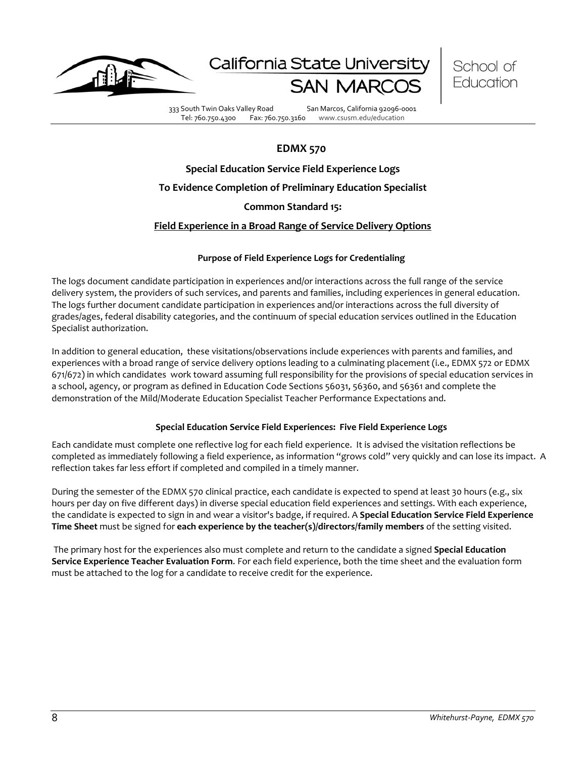





# **EDMX 570**

**Special Education Service Field Experience Logs To Evidence Completion of Preliminary Education Specialist Common Standard 15: Field Experience in a Broad Range of Service Delivery Options**

# **Purpose of Field Experience Logs for Credentialing**

The logs document candidate participation in experiences and/or interactions across the full range of the service delivery system, the providers of such services, and parents and families, including experiences in general education. The logs further document candidate participation in experiences and/or interactions across the full diversity of grades/ages, federal disability categories, and the continuum of special education services outlined in the Education Specialist authorization.

In addition to general education, these visitations/observations include experiences with parents and families, and experiences with a broad range of service delivery options leading to a culminating placement (i.e., EDMX 572 or EDMX 671/672) in which candidates work toward assuming full responsibility for the provisions of special education services in a school, agency, or program as defined in Education Code Sections 56031, 56360, and 56361 and complete the demonstration of the Mild/Moderate Education Specialist Teacher Performance Expectations and.

# **Special Education Service Field Experiences: Five Field Experience Logs**

Each candidate must complete one reflective log for each field experience. It is advised the visitation reflections be completed as immediately following a field experience, as information "grows cold" very quickly and can lose its impact. A reflection takes far less effort if completed and compiled in a timely manner.

During the semester of the EDMX 570 clinical practice, each candidate is expected to spend at least 30 hours (e.g., six hours per day on five different days) in diverse special education field experiences and settings. With each experience, the candidate is expected to sign in and wear a visitor's badge, if required. A **Special Education Service Field Experience Time Sheet** must be signed for **each experience by the teacher(s)/directors/family members** of the setting visited.

The primary host for the experiences also must complete and return to the candidate a signed **Special Education Service Experience Teacher Evaluation Form**. For each field experience, both the time sheet and the evaluation form must be attached to the log for a candidate to receive credit for the experience.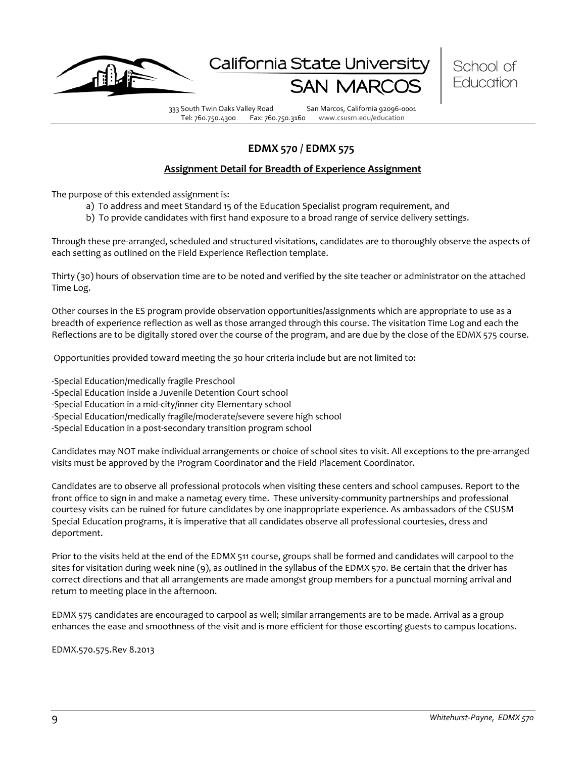





# **EDMX 570 / EDMX 575**

# **Assignment Detail for Breadth of Experience Assignment**

The purpose of this extended assignment is:

- a) To address and meet Standard 15 of the Education Specialist program requirement, and
- b) To provide candidates with first hand exposure to a broad range of service delivery settings.

Through these pre-arranged, scheduled and structured visitations, candidates are to thoroughly observe the aspects of each setting as outlined on the Field Experience Reflection template.

Thirty (30) hours of observation time are to be noted and verified by the site teacher or administrator on the attached Time Log.

Other courses in the ES program provide observation opportunities/assignments which are appropriate to use as a breadth of experience reflection as well as those arranged through this course. The visitation Time Log and each the Reflections are to be digitally stored over the course of the program, and are due by the close of the EDMX 575 course.

Opportunities provided toward meeting the 30 hour criteria include but are not limited to:

-Special Education/medically fragile Preschool

-Special Education inside a Juvenile Detention Court school

-Special Education in a mid-city/inner city Elementary school

-Special Education/medically fragile/moderate/severe severe high school

-Special Education in a post-secondary transition program school

Candidates may NOT make individual arrangements or choice of school sites to visit. All exceptions to the pre-arranged visits must be approved by the Program Coordinator and the Field Placement Coordinator.

Candidates are to observe all professional protocols when visiting these centers and school campuses. Report to the front office to sign in and make a nametag every time. These university-community partnerships and professional courtesy visits can be ruined for future candidates by one inappropriate experience. As ambassadors of the CSUSM Special Education programs, it is imperative that all candidates observe all professional courtesies, dress and deportment.

Prior to the visits held at the end of the EDMX 511 course, groups shall be formed and candidates will carpool to the sites for visitation during week nine (9), as outlined in the syllabus of the EDMX 570. Be certain that the driver has correct directions and that all arrangements are made amongst group members for a punctual morning arrival and return to meeting place in the afternoon.

EDMX 575 candidates are encouraged to carpool as well; similar arrangements are to be made. Arrival as a group enhances the ease and smoothness of the visit and is more efficient for those escorting guests to campus locations.

EDMX.570.575.Rev 8.2013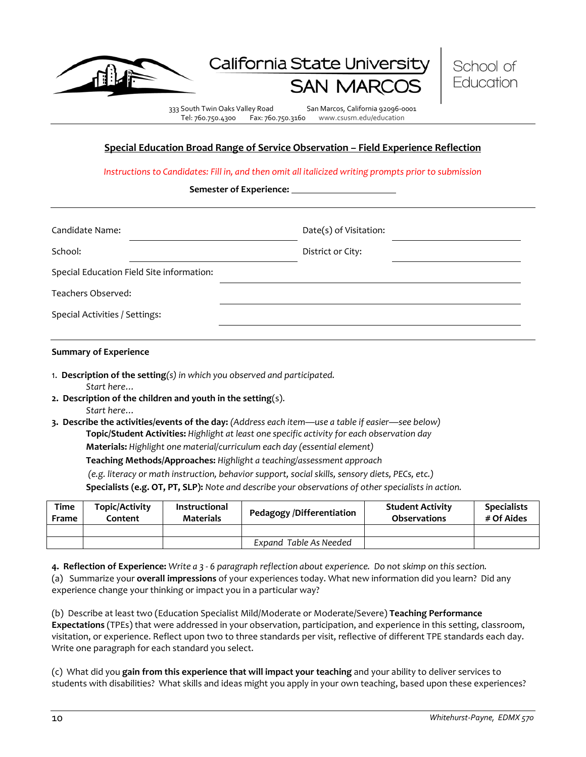





#### **Special Education Broad Range of Service Observation – Field Experience Reflection**

*Instructions to Candidates: Fill in, and then omit all italicized writing prompts prior to submission*

**Semester of Experience:** 

| Candidate Name:                           | Date(s) of Visitation: |  |
|-------------------------------------------|------------------------|--|
| School:                                   | District or City:      |  |
| Special Education Field Site information: |                        |  |
| Teachers Observed:                        |                        |  |
| Special Activities / Settings:            |                        |  |
|                                           |                        |  |

#### **Summary of Experience**

- 1. **Description of the setting***(s) in which you observed and participated. Start here…*
- **2. Description of the children and youth in the setting**(s).
	- *Start here…*
- **3. Describe the activities/events of the day:** *(Address each item—use a table if easier—see below)* **Topic/Student Activities:** *Highlight at least one specific activity for each observation day*

**Materials:** *Highlight one material/curriculum each day (essential element)*

**Teaching Methods/Approaches:** *Highlight a teaching/assessment approach*

*(e.g. literacy or math instruction, behavior support, social skills, sensory diets, PECs, etc.)* 

**Specialists (e.g. OT, PT, SLP):** *Note and describe your observations of other specialists in action.* 

| Time<br>Frame | Topic/Activity<br>Content | <b>Instructional</b><br><b>Materials</b> | <b>Pedagogy /Differentiation</b> | Student Activity<br><b>Observations</b> | <b>Specialists</b><br># Of Aides |
|---------------|---------------------------|------------------------------------------|----------------------------------|-----------------------------------------|----------------------------------|
|               |                           |                                          |                                  |                                         |                                  |
|               |                           |                                          | Expand Table As Needed           |                                         |                                  |

**4. Reflection of Experience:** *Write a 3 - 6 paragraph reflection about experience. Do not skimp on this section.*  (a) Summarize your **overall impressions** of your experiences today. What new information did you learn? Did any experience change your thinking or impact you in a particular way?

(b) Describe at least two (Education Specialist Mild/Moderate or Moderate/Severe) **Teaching Performance Expectations** (TPEs) that were addressed in your observation, participation, and experience in this setting, classroom, visitation, or experience. Reflect upon two to three standards per visit, reflective of different TPE standards each day. Write one paragraph for each standard you select.

(c) What did you **gain from this experience that will impact your teaching** and your ability to deliver services to students with disabilities? What skills and ideas might you apply in your own teaching, based upon these experiences?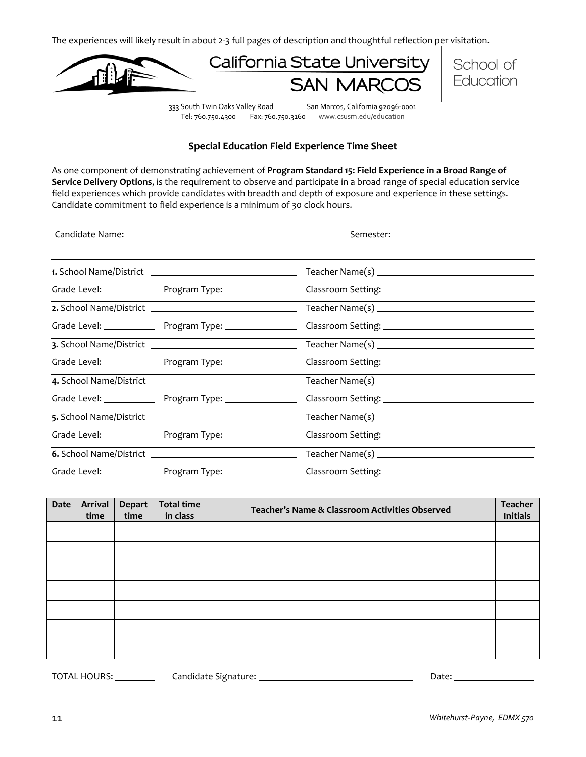The experiences will likely result in about 2-3 full pages of description and thoughtful reflection per visitation.



California State University **SAN MAF** 

333 South Twin Oaks Valley Road San Marcos, California 92096-0001 Tel: 760.750.4300 Fax: 760.750.3160 www.csusm.edu/education

# **Special Education Field Experience Time Sheet**

As one component of demonstrating achievement of **Program Standard 15: Field Experience in a Broad Range of Service Delivery Options**, is the requirement to observe and participate in a broad range of special education service field experiences which provide candidates with breadth and depth of exposure and experience in these settings. Candidate commitment to field experience is a minimum of 30 clock hours.

| Candidate Name: |                                                                   | Semester:                                                                                                            |
|-----------------|-------------------------------------------------------------------|----------------------------------------------------------------------------------------------------------------------|
|                 |                                                                   |                                                                                                                      |
|                 |                                                                   |                                                                                                                      |
|                 | Grade Level: _________________ Program Type: ____________________ |                                                                                                                      |
|                 |                                                                   |                                                                                                                      |
|                 |                                                                   |                                                                                                                      |
|                 |                                                                   |                                                                                                                      |
|                 |                                                                   |                                                                                                                      |
|                 |                                                                   |                                                                                                                      |
|                 | Grade Level: _________________ Program Type: ____________________ |                                                                                                                      |
|                 |                                                                   |                                                                                                                      |
|                 |                                                                   | Grade Level: _______________ Program Type: ______________________ Classroom Setting: _______________________________ |
|                 |                                                                   |                                                                                                                      |
|                 |                                                                   | Grade Level: _______________ Program Type: ___________________ Classroom Setting: ____________________________       |

| Date | Arrival<br>time | Depart<br>time | Total time<br>in class | Teacher's Name & Classroom Activities Observed | <b>Teacher</b><br><b>Initials</b> |
|------|-----------------|----------------|------------------------|------------------------------------------------|-----------------------------------|
|      |                 |                |                        |                                                |                                   |
|      |                 |                |                        |                                                |                                   |
|      |                 |                |                        |                                                |                                   |
|      |                 |                |                        |                                                |                                   |
|      |                 |                |                        |                                                |                                   |
|      |                 |                |                        |                                                |                                   |
|      |                 |                |                        |                                                |                                   |

TOTAL HOURS: Candidate Signature: Date:

School of **Education**